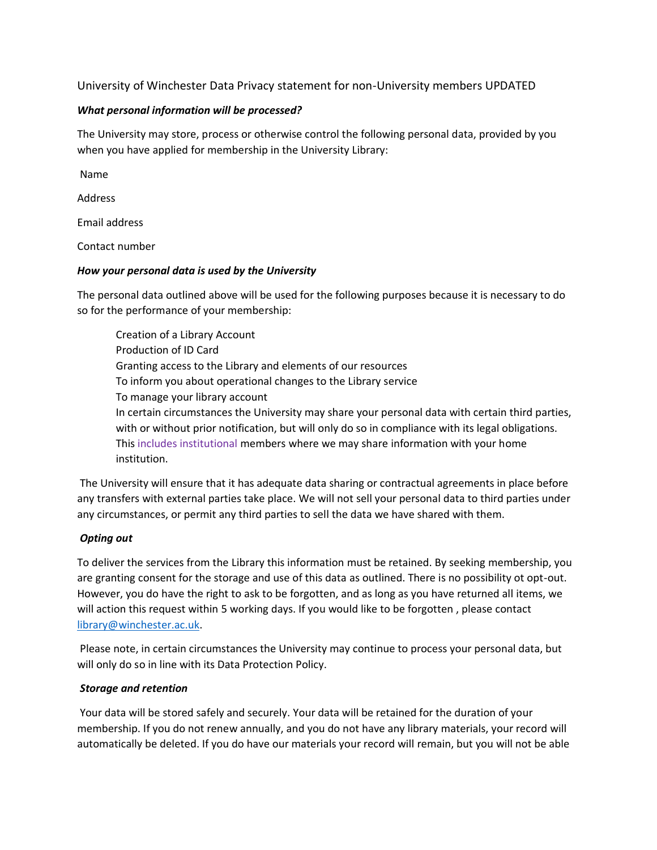University of Winchester Data Privacy statement for non-University members UPDATED

### *What personal information will be processed?*

The University may store, process or otherwise control the following personal data, provided by you when you have applied for membership in the University Library:

Name

Address

Email address

Contact number

### *How your personal data is used by the University*

The personal data outlined above will be used for the following purposes because it is necessary to do so for the performance of your membership:

Creation of a Library Account Production of ID Card Granting access to the Library and elements of our resources To inform you about operational changes to the Library service To manage your library account In certain circumstances the University may share your personal data with certain third parties, with or without prior notification, but will only do so in compliance with its legal obligations. This includes institutional members where we may share information with your home institution.

The University will ensure that it has adequate data sharing or contractual agreements in place before any transfers with external parties take place. We will not sell your personal data to third parties under any circumstances, or permit any third parties to sell the data we have shared with them.

# *Opting out*

To deliver the services from the Library this information must be retained. By seeking membership, you are granting consent for the storage and use of this data as outlined. There is no possibility ot opt-out. However, you do have the right to ask to be forgotten, and as long as you have returned all items, we will action this request within 5 working days. If you would like to be forgotten , please contact [library@winchester.ac.uk.](mailto:library@winchester.ac.uk)

Please note, in certain circumstances the University may continue to process your personal data, but will only do so in line with its Data Protection Policy.

# *Storage and retention*

Your data will be stored safely and securely. Your data will be retained for the duration of your membership. If you do not renew annually, and you do not have any library materials, your record will automatically be deleted. If you do have our materials your record will remain, but you will not be able